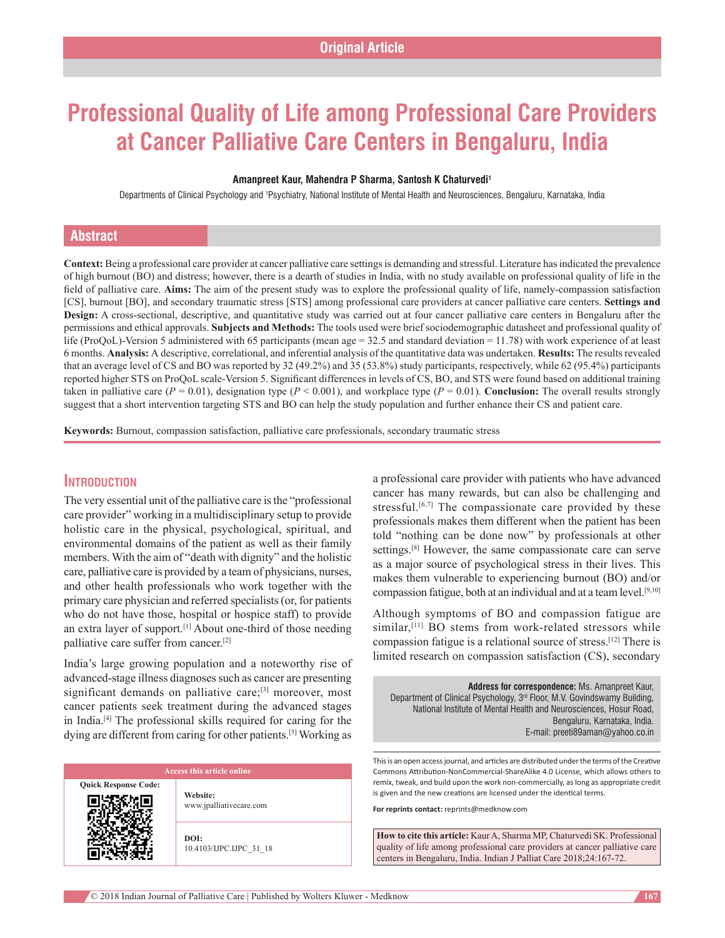# **Professional Quality of Life among Professional Care Providers at Cancer Palliative Care Centers in Bengaluru, India**

#### **Amanpreet Kaur, Mahendra P Sharma, Santosh K Chaturvedi1**

Departments of Clinical Psychology and †Psychiatry, National Institute of Mental Health and Neurosciences, Bengaluru, Karnataka, India

# **Abstract**

**Context:** Being a professional care provider at cancer palliative care settings is demanding and stressful. Literature has indicated the prevalence of high burnout (BO) and distress; however, there is a dearth of studies in India, with no study available on professional quality of life in the field of palliative care. **Aims:** The aim of the present study was to explore the professional quality of life, namely-compassion satisfaction [CS], burnout [BO], and secondary traumatic stress [STS] among professional care providers at cancer palliative care centers. **Settings and Design:** A cross‑sectional, descriptive, and quantitative study was carried out at four cancer palliative care centers in Bengaluru after the permissions and ethical approvals. **Subjects and Methods:** The tools used were brief sociodemographic datasheet and professional quality of life (ProQoL)–Version 5 administered with 65 participants (mean age = 32.5 and standard deviation = 11.78) with work experience of at least 6 months. **Analysis:** A descriptive, correlational, and inferential analysis of the quantitative data was undertaken. **Results:** The results revealed that an average level of CS and BO was reported by 32 (49.2%) and 35 (53.8%) study participants, respectively, while 62 (95.4%) participants reported higher STS on ProQoL scale‑Version 5. Significant differences in levels of CS, BO, and STS were found based on additional training taken in palliative care  $(P = 0.01)$ , designation type  $(P < 0.001)$ , and workplace type  $(P = 0.01)$ . **Conclusion:** The overall results strongly suggest that a short intervention targeting STS and BO can help the study population and further enhance their CS and patient care.

**Keywords:** Burnout, compassion satisfaction, palliative care professionals, secondary traumatic stress

# **Introduction**

The very essential unit of the palliative care is the "professional care provider" working in a multidisciplinary setup to provide holistic care in the physical, psychological, spiritual, and environmental domains of the patient as well as their family members. With the aim of "death with dignity" and the holistic care, palliative care is provided by a team of physicians, nurses, and other health professionals who work together with the primary care physician and referred specialists(or, for patients who do not have those, hospital or hospice staff) to provide an extra layer of support.<sup>[1]</sup> About one-third of those needing palliative care suffer from cancer.[2]

India's large growing population and a noteworthy rise of advanced‑stage illness diagnoses such as cancer are presenting significant demands on palliative care;<sup>[3]</sup> moreover, most cancer patients seek treatment during the advanced stages in India.[4] The professional skills required for caring for the dying are different from caring for other patients.<sup>[5]</sup> Working as

**Quick Response Code:**

**Website:** www.jpalliativecare.com

**DOI:** 10.4103/IJPC.IJPC\_31\_18 a professional care provider with patients who have advanced cancer has many rewards, but can also be challenging and stressful.<sup>[6,7]</sup> The compassionate care provided by these professionals makes them different when the patient has been told "nothing can be done now" by professionals at other settings.[8] However, the same compassionate care can serve as a major source of psychological stress in their lives. This makes them vulnerable to experiencing burnout (BO) and/or compassion fatigue, both at an individual and at a team level.[9,10]

Although symptoms of BO and compassion fatigue are similar,<sup>[11]</sup> BO stems from work-related stressors while compassion fatigue is a relational source of stress.[12] There is limited research on compassion satisfaction (CS), secondary

**Address for correspondence:** Ms. Amanpreet Kaur, Department of Clinical Psychology, 3<sup>rd</sup> Floor, M.V. Govindswamy Building, National Institute of Mental Health and Neurosciences, Hosur Road, Bengaluru, Karnataka, India. E‑mail: preeti89aman@yahoo.co.in

This is an open access journal, and articles are distributed under the terms of the Creative Commons Attribution-NonCommercial-ShareAlike 4.0 License, which allows others to remix, tweak, and build upon the work non-commercially, as long as appropriate credit is given and the new creations are licensed under the identical terms.

**For reprints contact:** reprints@medknow.com

**How to cite this article:** Kaur A, Sharma MP, Chaturvedi SK. Professional quality of life among professional care providers at cancer palliative care centers in Bengaluru, India. Indian J Palliat Care 2018;24:167-72.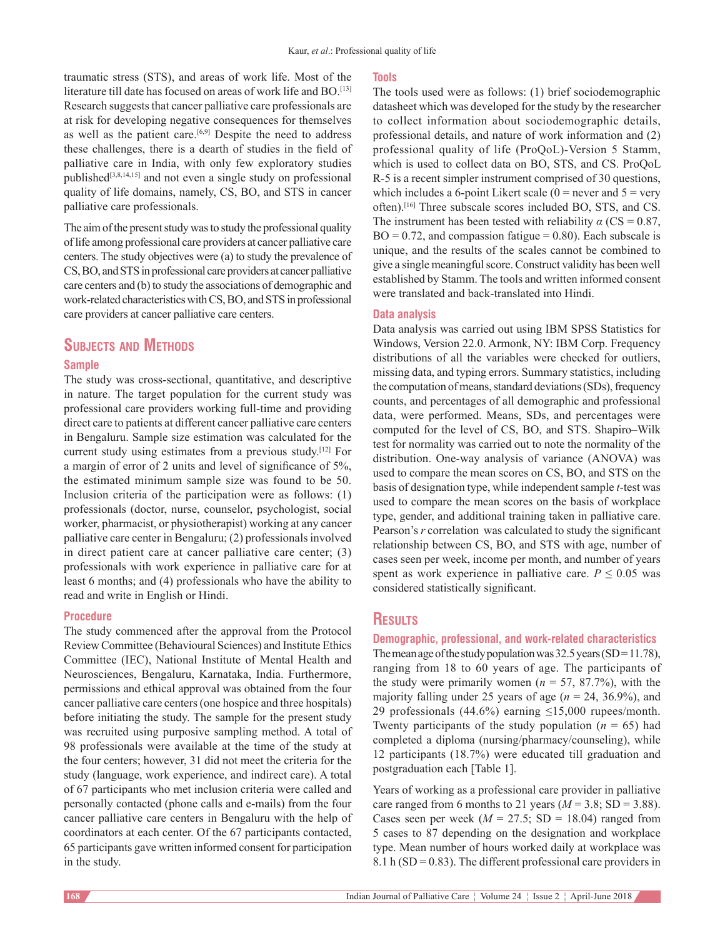traumatic stress (STS), and areas of work life. Most of the literature till date has focused on areas of work life and BO.<sup>[13]</sup> Research suggests that cancer palliative care professionals are at risk for developing negative consequences for themselves as well as the patient care.<sup>[6,9]</sup> Despite the need to address these challenges, there is a dearth of studies in the field of palliative care in India, with only few exploratory studies published[3,8,14,15] and not even a single study on professional quality of life domains, namely, CS, BO, and STS in cancer palliative care professionals.

The aim of the present study was to study the professional quality of life among professional care providers at cancer palliative care centers. The study objectives were (a) to study the prevalence of CS, BO, and STS in professional care providers at cancer palliative care centers and (b) to study the associations of demographic and work‑related characteristics with CS, BO, and STS in professional care providers at cancer palliative care centers.

# **Subjects and Methods**

#### **Sample**

The study was cross-sectional, quantitative, and descriptive in nature. The target population for the current study was professional care providers working full-time and providing direct care to patients at different cancer palliative care centers in Bengaluru. Sample size estimation was calculated for the current study using estimates from a previous study.[12] For a margin of error of 2 units and level of significance of 5%, the estimated minimum sample size was found to be 50. Inclusion criteria of the participation were as follows: (1) professionals (doctor, nurse, counselor, psychologist, social worker, pharmacist, or physiotherapist) working at any cancer palliative care center in Bengaluru; (2) professionals involved in direct patient care at cancer palliative care center; (3) professionals with work experience in palliative care for at least 6 months; and (4) professionals who have the ability to read and write in English or Hindi.

#### **Procedure**

The study commenced after the approval from the Protocol Review Committee (Behavioural Sciences) and Institute Ethics Committee (IEC), National Institute of Mental Health and Neurosciences, Bengaluru, Karnataka, India. Furthermore, permissions and ethical approval was obtained from the four cancer palliative care centers(one hospice and three hospitals) before initiating the study. The sample for the present study was recruited using purposive sampling method. A total of 98 professionals were available at the time of the study at the four centers; however, 31 did not meet the criteria for the study (language, work experience, and indirect care). A total of 67 participants who met inclusion criteria were called and personally contacted (phone calls and e‑mails) from the four cancer palliative care centers in Bengaluru with the help of coordinators at each center. Of the 67 participants contacted, 65 participants gave written informed consent for participation in the study.

#### **Tools**

The tools used were as follows: (1) brief sociodemographic datasheet which was developed for the study by the researcher to collect information about sociodemographic details, professional details, and nature of work information and (2) professional quality of life (ProQoL)‑Version 5 Stamm, which is used to collect data on BO, STS, and CS. ProQoL R‑5 is a recent simpler instrument comprised of 30 questions, which includes a 6-point Likert scale ( $0 =$  never and  $5 =$  very often).[16] Three subscale scores included BO, STS, and CS. The instrument has been tested with reliability  $\alpha$  (CS = 0.87,  $BO = 0.72$ , and compassion fatigue = 0.80). Each subscale is unique, and the results of the scales cannot be combined to give a single meaningful score. Construct validity has been well established by Stamm. The tools and written informed consent were translated and back-translated into Hindi.

#### **Data analysis**

Data analysis was carried out using IBM SPSS Statistics for Windows, Version 22.0. Armonk, NY: IBM Corp. Frequency distributions of all the variables were checked for outliers, missing data, and typing errors. Summary statistics, including the computation of means, standard deviations(SDs), frequency counts, and percentages of all demographic and professional data, were performed. Means, SDs, and percentages were computed for the level of CS, BO, and STS. Shapiro–Wilk test for normality was carried out to note the normality of the distribution. One‑way analysis of variance (ANOVA) was used to compare the mean scores on CS, BO, and STS on the basis of designation type, while independent sample *t*‑test was used to compare the mean scores on the basis of workplace type, gender, and additional training taken in palliative care. Pearson's *r* correlation was calculated to study the significant relationship between CS, BO, and STS with age, number of cases seen per week, income per month, and number of years spent as work experience in palliative care.  $P \le 0.05$  was considered statistically significant.

# **Results**

#### **Demographic, professional, and work-related characteristics**

The mean age of the study population was  $32.5$  years (SD=11.78), ranging from 18 to 60 years of age. The participants of the study were primarily women  $(n = 57, 87.7%)$ , with the majority falling under 25 years of age  $(n = 24, 36.9\%)$ , and 29 professionals (44.6%) earning  $\leq 15,000$  rupees/month. Twenty participants of the study population  $(n = 65)$  had completed a diploma (nursing/pharmacy/counseling), while 12 participants (18.7%) were educated till graduation and postgraduation each [Table 1].

Years of working as a professional care provider in palliative care ranged from 6 months to 21 years  $(M = 3.8; SD = 3.88)$ . Cases seen per week ( $M = 27.5$ ; SD = 18.04) ranged from 5 cases to 87 depending on the designation and workplace type. Mean number of hours worked daily at workplace was 8.1 h ( $SD = 0.83$ ). The different professional care providers in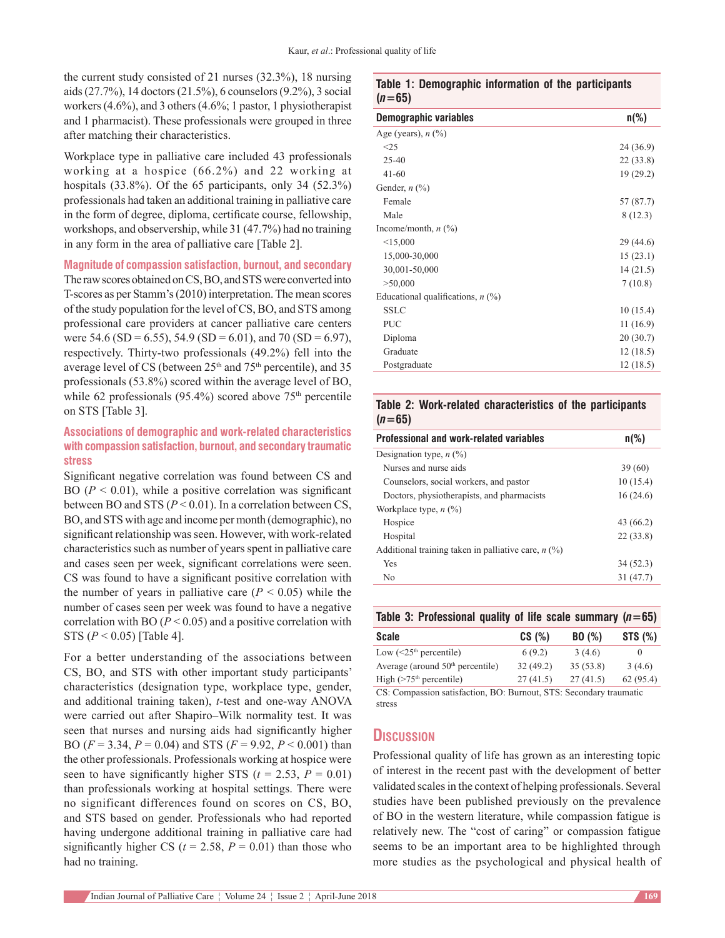the current study consisted of 21 nurses (32.3%), 18 nursing aids(27.7%), 14 doctors(21.5%), 6 counselors(9.2%), 3 social workers(4.6%), and 3 others(4.6%; 1 pastor, 1 physiotherapist and 1 pharmacist). These professionals were grouped in three after matching their characteristics.

Workplace type in palliative care included 43 professionals working at a hospice (66.2%) and 22 working at hospitals (33.8%). Of the 65 participants, only 34 (52.3%) professionals had taken an additional training in palliative care in the form of degree, diploma, certificate course, fellowship, workshops, and observership, while 31 (47.7%) had no training in any form in the area of palliative care [Table 2].

**Magnitude of compassion satisfaction, burnout, and secondary**

The raw scores obtained on CS, BO, and STS were converted into T‑scores as per Stamm's(2010) interpretation. The mean scores of the study population for the level of CS, BO, and STS among professional care providers at cancer palliative care centers were 54.6 (SD = 6.55), 54.9 (SD = 6.01), and 70 (SD = 6.97), respectively. Thirty-two professionals (49.2%) fell into the average level of CS (between  $25<sup>th</sup>$  and  $75<sup>th</sup>$  percentile), and 35 professionals (53.8%) scored within the average level of BO, while 62 professionals (95.4%) scored above  $75<sup>th</sup>$  percentile on STS [Table 3].

## **Associations of demographic and work-related characteristics with compassion satisfaction, burnout, and secondary traumatic stress**

Significant negative correlation was found between CS and BO ( $P < 0.01$ ), while a positive correlation was significant between BO and STS  $(P < 0.01)$ . In a correlation between CS, BO, and STS with age and income per month (demographic), no significant relationship was seen. However, with work-related characteristics such as number of years spent in palliative care and cases seen per week, significant correlations were seen. CS was found to have a significant positive correlation with the number of years in palliative care  $(P < 0.05)$  while the number of cases seen per week was found to have a negative correlation with BO  $(P < 0.05)$  and a positive correlation with STS (*P* < 0.05) [Table 4].

For a better understanding of the associations between CS, BO, and STS with other important study participants' characteristics (designation type, workplace type, gender, and additional training taken), *t*‑test and one‑way ANOVA were carried out after Shapiro–Wilk normality test. It was seen that nurses and nursing aids had significantly higher BO (*F* = 3.34, *P* = 0.04) and STS (*F* = 9.92, *P* < 0.001) than the other professionals. Professionals working at hospice were seen to have significantly higher STS ( $t = 2.53$ ,  $P = 0.01$ ) than professionals working at hospital settings. There were no significant differences found on scores on CS, BO, and STS based on gender. Professionals who had reported having undergone additional training in palliative care had significantly higher CS ( $t = 2.58$ ,  $P = 0.01$ ) than those who had no training.

#### **Table 1: Demographic information of the participants**   $(n=65)$

| Demographic variables               | $n\frac{9}{6}$ |
|-------------------------------------|----------------|
| Age (years), $n$ (%)                |                |
| <25                                 | 24 (36.9)      |
| $25 - 40$                           | 22(33.8)       |
| $41 - 60$                           | 19(29.2)       |
| Gender, $n$ $(\%)$                  |                |
| Female                              | 57 (87.7)      |
| Male                                | 8(12.3)        |
| Income/month, $n$ (%)               |                |
| <15,000                             | 29(44.6)       |
| 15,000-30,000                       | 15(23.1)       |
| 30,001-50,000                       | 14(21.5)       |
| >50,000                             | 7(10.8)        |
| Educational qualifications, $n$ (%) |                |
| <b>SSLC</b>                         | 10(15.4)       |
| <b>PUC</b>                          | 11(16.9)       |
| Diploma                             | 20(30.7)       |
| Graduate                            | 12(18.5)       |
| Postgraduate                        | 12(18.5)       |
|                                     |                |

#### **Table 2: Work-related characteristics of the participants**   $(n=65)$

| Professional and work-related variables               | $n\frac{9}{6}$ |
|-------------------------------------------------------|----------------|
| Designation type, $n$ (%)                             |                |
| Nurses and nurse aids                                 | 39 (60)        |
| Counselors, social workers, and pastor                | 10(15.4)       |
| Doctors, physiotherapists, and pharmacists            | 16(24.6)       |
| Workplace type, $n$ (%)                               |                |
| Hospice                                               | 43 (66.2)      |
| Hospital                                              | 22(33.8)       |
| Additional training taken in palliative care, $n$ (%) |                |
| Yes                                                   | 34 (52.3)      |
| N <sub>0</sub>                                        | 31 (47.7)      |

| Table 3: Professional quality of life scale summary $(n=65)$ |          |          |          |
|--------------------------------------------------------------|----------|----------|----------|
| <b>Scale</b>                                                 | CS(%)    | BO(%)    | STS(%)   |
| Low $(<25th$ percentile)                                     | 6(9.2)   | 3(4.6)   | $\theta$ |
| Average (around $50th$ percentile)                           | 32(49.2) | 35(53.8) | 3(4.6)   |
| High $($ >75 <sup>th</sup> percentile)                       | 27(41.5) | 27(41.5) | 62(95.4) |

CS: Compassion satisfaction, BO: Burnout, STS: Secondary traumatic stress

# **Discussion**

Professional quality of life has grown as an interesting topic of interest in the recent past with the development of better validated scales in the context of helping professionals. Several studies have been published previously on the prevalence of BO in the western literature, while compassion fatigue is relatively new. The "cost of caring" or compassion fatigue seems to be an important area to be highlighted through more studies as the psychological and physical health of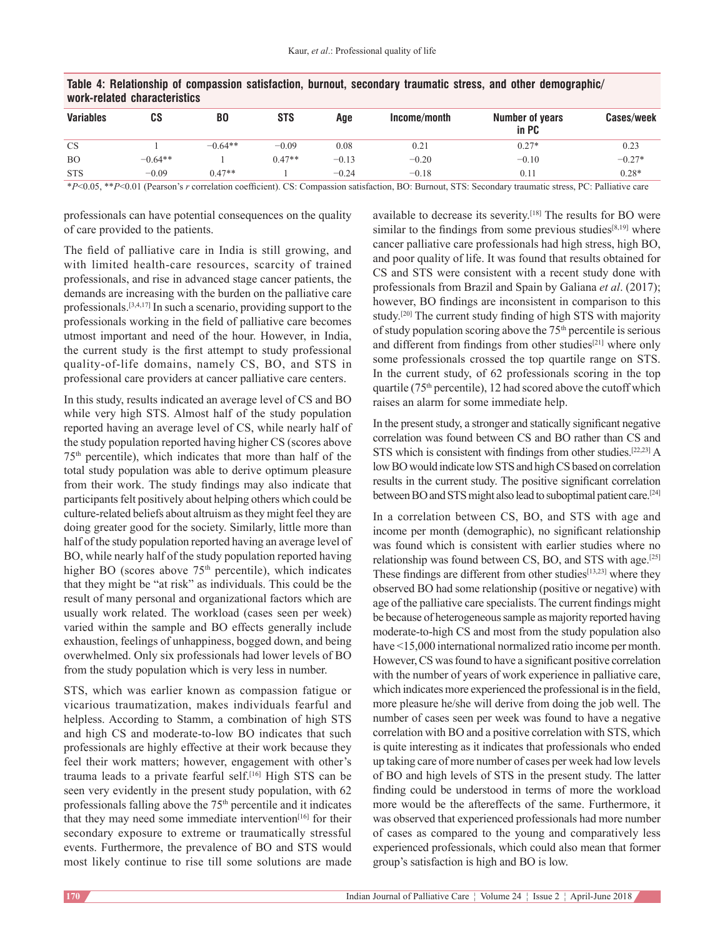| WUI N-I GIALGU LUIAI ALLGI ISLILS |           |           |            |         |              |                          |            |  |
|-----------------------------------|-----------|-----------|------------|---------|--------------|--------------------------|------------|--|
| <b>Variables</b>                  | CS        | B0        | <b>STS</b> | Aqe     | Income/month | Number of years<br>in PC | Cases/week |  |
| <b>CS</b>                         |           | $-0.64**$ | $-0.09$    | 0.08    | 0.21         | $0.27*$                  | 0.23       |  |
| <b>BO</b>                         | $-0.64**$ |           | $0.47**$   | $-0.13$ | $-0.20$      | $-0.10$                  | $-0.27*$   |  |
| <b>STS</b>                        | $-0.09$   | $0.47**$  |            | $-0.24$ | $-0.18$      | 0.11                     | $0.28*$    |  |

#### **Table 4: Relationship of compassion satisfaction, burnout, secondary traumatic stress, and other demographic/ work-related characteristics**

\**P*<0.05, \*\**P*<0.01 (Pearson's *r* correlation coefficient). CS: Compassion satisfaction, BO: Burnout, STS: Secondary traumatic stress, PC: Palliative care

professionals can have potential consequences on the quality of care provided to the patients.

The field of palliative care in India is still growing, and with limited health-care resources, scarcity of trained professionals, and rise in advanced stage cancer patients, the demands are increasing with the burden on the palliative care professionals.[3,4,17] In such a scenario, providing support to the professionals working in the field of palliative care becomes utmost important and need of the hour. However, in India, the current study is the first attempt to study professional quality‑of‑life domains, namely CS, BO, and STS in professional care providers at cancer palliative care centers.

In this study, results indicated an average level of CS and BO while very high STS. Almost half of the study population reported having an average level of CS, while nearly half of the study population reported having higher CS (scores above 75th percentile), which indicates that more than half of the total study population was able to derive optimum pleasure from their work. The study findings may also indicate that participants felt positively about helping others which could be culture‑related beliefs about altruism as they might feel they are doing greater good for the society. Similarly, little more than half of the study population reported having an average level of BO, while nearly half of the study population reported having higher BO (scores above  $75<sup>th</sup>$  percentile), which indicates that they might be "at risk" as individuals. This could be the result of many personal and organizational factors which are usually work related. The workload (cases seen per week) varied within the sample and BO effects generally include exhaustion, feelings of unhappiness, bogged down, and being overwhelmed. Only six professionals had lower levels of BO from the study population which is very less in number.

STS, which was earlier known as compassion fatigue or vicarious traumatization, makes individuals fearful and helpless. According to Stamm, a combination of high STS and high CS and moderate-to-low BO indicates that such professionals are highly effective at their work because they feel their work matters; however, engagement with other's trauma leads to a private fearful self.[16] High STS can be seen very evidently in the present study population, with 62 professionals falling above the 75<sup>th</sup> percentile and it indicates that they may need some immediate intervention<sup>[16]</sup> for their secondary exposure to extreme or traumatically stressful events. Furthermore, the prevalence of BO and STS would most likely continue to rise till some solutions are made available to decrease its severity.[18] The results for BO were similar to the findings from some previous studies<sup>[8,19]</sup> where cancer palliative care professionals had high stress, high BO, and poor quality of life. It was found that results obtained for CS and STS were consistent with a recent study done with professionals from Brazil and Spain by Galiana *et al*. (2017); however, BO findings are inconsistent in comparison to this study.<sup>[20]</sup> The current study finding of high STS with majority of study population scoring above the  $75<sup>th</sup>$  percentile is serious and different from findings from other studies<sup>[21]</sup> where only some professionals crossed the top quartile range on STS. In the current study, of 62 professionals scoring in the top quartile ( $75<sup>th</sup>$  percentile), 12 had scored above the cutoff which raises an alarm for some immediate help.

In the present study, a stronger and statically significant negative correlation was found between CS and BO rather than CS and STS which is consistent with findings from other studies.[22,23] A low BO would indicate low STS and high CS based on correlation results in the current study. The positive significant correlation between BO and STS might also lead to suboptimal patient care.<sup>[24]</sup>

In a correlation between CS, BO, and STS with age and income per month (demographic), no significant relationship was found which is consistent with earlier studies where no relationship was found between CS, BO, and STS with age.[25] These findings are different from other studies<sup>[13,23]</sup> where they observed BO had some relationship (positive or negative) with age of the palliative care specialists. The current findings might be because of heterogeneous sample as majority reported having moderate-to-high CS and most from the study population also have <15,000 international normalized ratio income per month. However, CS was found to have a significant positive correlation with the number of years of work experience in palliative care, which indicates more experienced the professional is in the field, more pleasure he/she will derive from doing the job well. The number of cases seen per week was found to have a negative correlation with BO and a positive correlation with STS, which is quite interesting as it indicates that professionals who ended up taking care of more number of cases per week had low levels of BO and high levels of STS in the present study. The latter finding could be understood in terms of more the workload more would be the aftereffects of the same. Furthermore, it was observed that experienced professionals had more number of cases as compared to the young and comparatively less experienced professionals, which could also mean that former group's satisfaction is high and BO is low.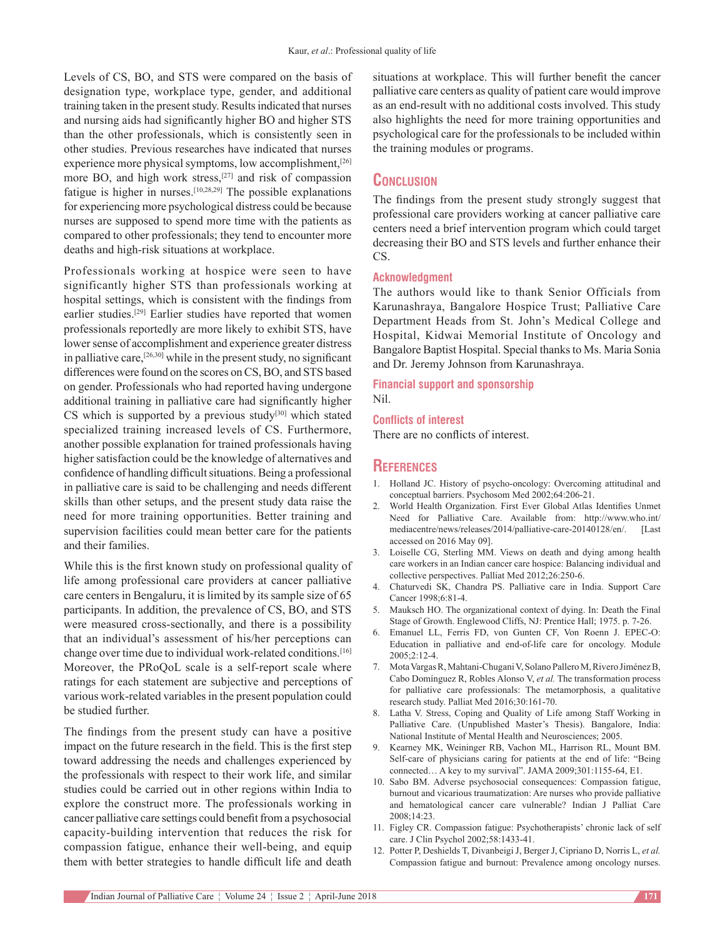Levels of CS, BO, and STS were compared on the basis of designation type, workplace type, gender, and additional training taken in the present study. Results indicated that nurses and nursing aids had significantly higher BO and higher STS than the other professionals, which is consistently seen in other studies. Previous researches have indicated that nurses experience more physical symptoms, low accomplishment,<sup>[26]</sup> more BO, and high work stress,<sup>[27]</sup> and risk of compassion fatigue is higher in nurses.[10,28,29] The possible explanations for experiencing more psychological distress could be because nurses are supposed to spend more time with the patients as compared to other professionals; they tend to encounter more deaths and high-risk situations at workplace.

Professionals working at hospice were seen to have significantly higher STS than professionals working at hospital settings, which is consistent with the findings from earlier studies.[29] Earlier studies have reported that women professionals reportedly are more likely to exhibit STS, have lower sense of accomplishment and experience greater distress in palliative care,[26,30] while in the present study, no significant differences were found on the scores on CS, BO, and STS based on gender. Professionals who had reported having undergone additional training in palliative care had significantly higher CS which is supported by a previous study<sup>[30]</sup> which stated specialized training increased levels of CS. Furthermore, another possible explanation for trained professionals having higher satisfaction could be the knowledge of alternatives and confidence of handling difficult situations. Being a professional in palliative care is said to be challenging and needs different skills than other setups, and the present study data raise the need for more training opportunities. Better training and supervision facilities could mean better care for the patients and their families.

While this is the first known study on professional quality of life among professional care providers at cancer palliative care centers in Bengaluru, it is limited by its sample size of 65 participants. In addition, the prevalence of CS, BO, and STS were measured cross-sectionally, and there is a possibility that an individual's assessment of his/her perceptions can change over time due to individual work‑related conditions.[16] Moreover, the PRoQoL scale is a self-report scale where ratings for each statement are subjective and perceptions of various work‑related variables in the present population could be studied further.

The findings from the present study can have a positive impact on the future research in the field. This is the first step toward addressing the needs and challenges experienced by the professionals with respect to their work life, and similar studies could be carried out in other regions within India to explore the construct more. The professionals working in cancer palliative care settings could benefit from a psychosocial capacity‑building intervention that reduces the risk for compassion fatigue, enhance their well-being, and equip them with better strategies to handle difficult life and death

situations at workplace. This will further benefit the cancer palliative care centers as quality of patient care would improve as an end-result with no additional costs involved. This study also highlights the need for more training opportunities and psychological care for the professionals to be included within the training modules or programs.

### **Conclusion**

The findings from the present study strongly suggest that professional care providers working at cancer palliative care centers need a brief intervention program which could target decreasing their BO and STS levels and further enhance their CS.

#### **Acknowledgment**

The authors would like to thank Senior Officials from Karunashraya, Bangalore Hospice Trust; Palliative Care Department Heads from St. John's Medical College and Hospital, Kidwai Memorial Institute of Oncology and Bangalore Baptist Hospital. Special thanks to Ms. Maria Sonia and Dr. Jeremy Johnson from Karunashraya.

**Financial support and sponsorship** Nil.

#### **Conflicts of interest**

There are no conflicts of interest.

#### **References**

- 1. Holland JC. History of psycho-oncology: Overcoming attitudinal and conceptual barriers. Psychosom Med 2002;64:206-21.
- 2. World Health Organization. First Ever Global Atlas Identifies Unmet Need for Palliative Care. Available from: http://www.who.int/ mediacentre/news/releases/2014/palliative-care-20140128/en/. [Last accessed on 2016 May 09].
- 3. Loiselle CG, Sterling MM. Views on death and dying among health care workers in an Indian cancer care hospice: Balancing individual and collective perspectives. Palliat Med 2012;26:250‑6.
- 4. Chaturvedi SK, Chandra PS. Palliative care in India. Support Care Cancer 1998;6:81-4.
- 5. Mauksch HO. The organizational context of dying. In: Death the Final Stage of Growth. Englewood Cliffs, NJ: Prentice Hall; 1975. p. 7‑26.
- 6. Emanuel LL, Ferris FD, von Gunten CF, Von Roenn J. EPEC‑O: Education in palliative and end-of-life care for oncology. Module 2005;2:12‑4.
- 7. Mota Vargas R, Mahtani-Chugani V, Solano Pallero M, Rivero Jiménez B, Cabo Domínguez R, Robles Alonso V, *et al.* The transformation process for palliative care professionals: The metamorphosis, a qualitative research study. Palliat Med 2016;30:161-70.
- 8. Latha V. Stress, Coping and Quality of Life among Staff Working in Palliative Care. (Unpublished Master's Thesis). Bangalore, India: National Institute of Mental Health and Neurosciences; 2005.
- 9. Kearney MK, Weininger RB, Vachon ML, Harrison RL, Mount BM. Self-care of physicians caring for patients at the end of life: "Being connected… A key to my survival". JAMA 2009;301:1155‑64, E1.
- 10. Sabo BM. Adverse psychosocial consequences: Compassion fatigue, burnout and vicarious traumatization: Are nurses who provide palliative and hematological cancer care vulnerable? Indian J Palliat Care 2008;14:23.
- 11. Figley CR. Compassion fatigue: Psychotherapists' chronic lack of self care. J Clin Psychol 2002;58:1433‑41.
- 12. Potter P, Deshields T, Divanbeigi J, Berger J, Cipriano D, Norris L, *et al.* Compassion fatigue and burnout: Prevalence among oncology nurses.